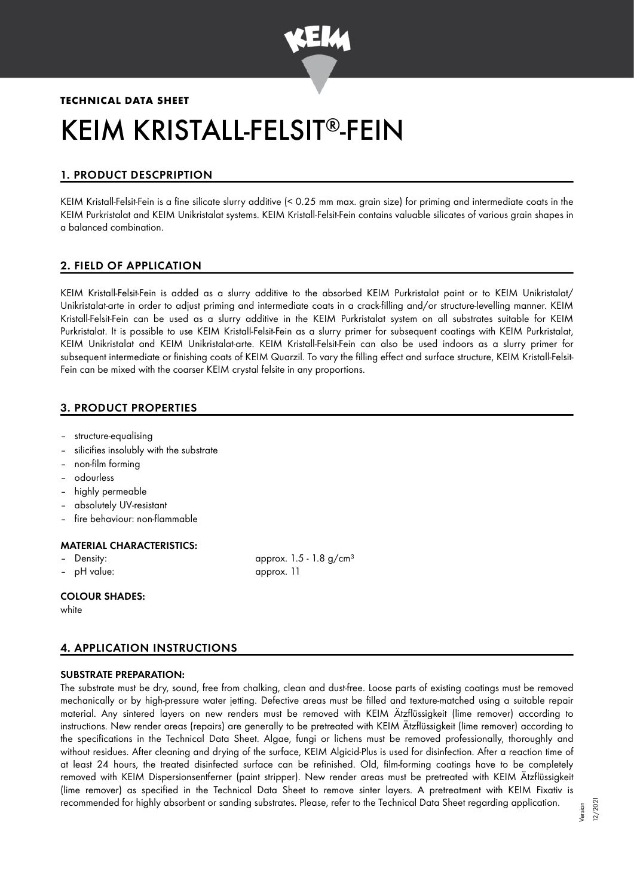

# **TECHNICAL DATA SHEET**

# KEIM KRISTALL-FELSIT®-FEIN

# 1. PRODUCT DESCPRIPTION

KEIM Kristall-Felsit-Fein is a fine silicate slurry additive (< 0.25 mm max. grain size) for priming and intermediate coats in the KEIM Purkristalat and KEIM Unikristalat systems. KEIM Kristall-Felsit-Fein contains valuable silicates of various grain shapes in a balanced combination.

# 2. FIELD OF APPLICATION

KEIM Kristall-Felsit-Fein is added as a slurry additive to the absorbed KEIM Purkristalat paint or to KEIM Unikristalat/ Unikristalat-arte in order to adjust priming and intermediate coats in a crack-filling and/or structure-levelling manner. KEIM Kristall-Felsit-Fein can be used as a slurry additive in the KEIM Purkristalat system on all substrates suitable for KEIM Purkristalat. It is possible to use KEIM Kristall-Felsit-Fein as a slurry primer for subsequent coatings with KEIM Purkristalat, KEIM Unikristalat and KEIM Unikristalat-arte. KEIM Kristall-Felsit-Fein can also be used indoors as a slurry primer for subsequent intermediate or finishing coats of KEIM Quarzil. To vary the filling effect and surface structure, KEIM Kristall-Felsit-Fein can be mixed with the coarser KEIM crystal felsite in any proportions.

# 3. PRODUCT PROPERTIES

- structure-equalising
- silicifies insolubly with the substrate
- non-film forming
- odourless
- highly permeable
- absolutely UV-resistant
- fire behaviour: non-flammable

#### MATERIAL CHARACTERISTICS:

- 
- 

Density:  $\qquad \qquad \text{approx. 1.5 - 1.8 g/cm}^3$ – pH value: approx. 11

#### COLOUR SHADES:

white

## 4. APPLICATION INSTRUCTIONS

#### SUBSTRATE PREPARATION:

The substrate must be dry, sound, free from chalking, clean and dust-free. Loose parts of existing coatings must be removed mechanically or by high-pressure water jetting. Defective areas must be filled and texture-matched using a suitable repair material. Any sintered layers on new renders must be removed with KEIM Ätzflüssigkeit (lime remover) according to instructions. New render areas (repairs) are generally to be pretreated with KEIM Ätzflüssigkeit (lime remover) according to the specifications in the Technical Data Sheet. Algae, fungi or lichens must be removed professionally, thoroughly and without residues. After cleaning and drying of the surface, KEIM Algicid-Plus is used for disinfection. After a reaction time of at least 24 hours, the treated disinfected surface can be refinished. Old, film-forming coatings have to be completely removed with KEIM Dispersionsentferner (paint stripper). New render areas must be pretreated with KEIM Ätzflüssigkeit (lime remover) as specified in the Technical Data Sheet to remove sinter layers. A pretreatment with KEIM Fixativ is recommended for highly absorbent or sanding substrates. Please, refer to the Technical Data Sheet regarding application.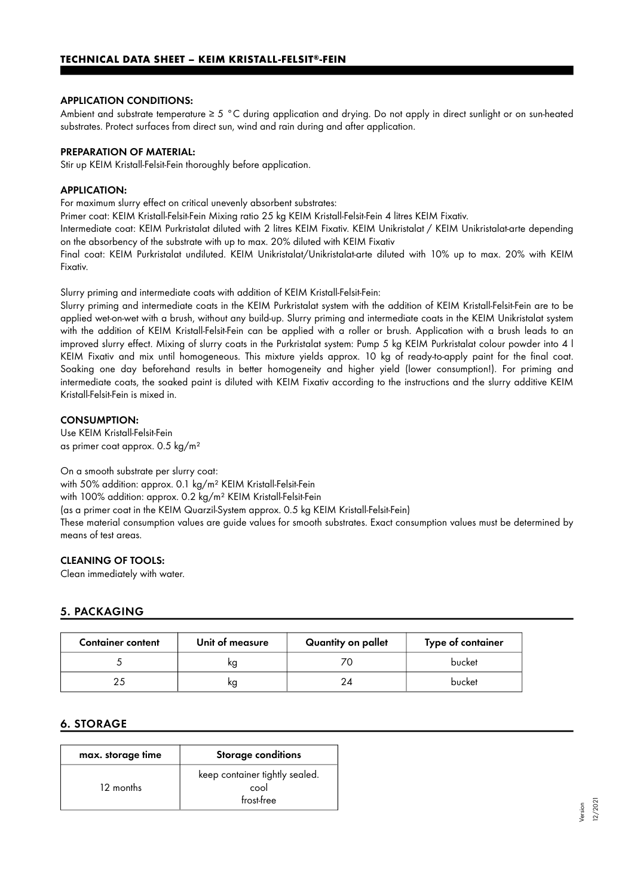#### APPLICATION CONDITIONS:

Ambient and substrate temperature ≥ 5 °C during application and drying. Do not apply in direct sunlight or on sun-heated substrates. Protect surfaces from direct sun, wind and rain during and after application.

#### PREPARATION OF MATERIAL:

Stir up KEIM Kristall-Felsit-Fein thoroughly before application.

#### APPLICATION:

For maximum slurry effect on critical unevenly absorbent substrates:

Primer coat: KEIM Kristall-Felsit-Fein Mixing ratio 25 kg KEIM Kristall-Felsit-Fein 4 litres KEIM Fixativ.

Intermediate coat: KEIM Purkristalat diluted with 2 litres KEIM Fixativ. KEIM Unikristalat / KEIM Unikristalat-arte depending on the absorbency of the substrate with up to max. 20% diluted with KEIM Fixativ

Final coat: KEIM Purkristalat undiluted. KEIM Unikristalat/Unikristalat-arte diluted with 10% up to max. 20% with KEIM Fixativ.

Slurry priming and intermediate coats with addition of KEIM Kristall-Felsit-Fein:

Slurry priming and intermediate coats in the KEIM Purkristalat system with the addition of KEIM Kristall-Felsit-Fein are to be applied wet-on-wet with a brush, without any build-up. Slurry priming and intermediate coats in the KEIM Unikristalat system with the addition of KEIM Kristall-Felsit-Fein can be applied with a roller or brush. Application with a brush leads to an improved slurry effect. Mixing of slurry coats in the Purkristalat system: Pump 5 kg KEIM Purkristalat colour powder into 4 l KEIM Fixativ and mix until homogeneous. This mixture yields approx. 10 kg of ready-to-apply paint for the final coat. Soaking one day beforehand results in better homogeneity and higher yield (lower consumption!). For priming and intermediate coats, the soaked paint is diluted with KEIM Fixativ according to the instructions and the slurry additive KEIM Kristall-Felsit-Fein is mixed in.

#### CONSUMPTION:

Use KEIM Kristall-Felsit-Fein as primer coat approx. 0.5 kg/m²

On a smooth substrate per slurry coat:

with 50% addition: approx. 0.1 kg/m² KEIM Kristall-Felsit-Fein with 100% addition: approx. 0.2 kg/m² KEIM Kristall-Felsit-Fein (as a primer coat in the KEIM Quarzil-System approx. 0.5 kg KEIM Kristall-Felsit-Fein) These material consumption values are guide values for smooth substrates. Exact consumption values must be determined by means of test areas.

## CLEANING OF TOOLS:

Clean immediately with water.

# 5. PACKAGING

| <b>Container content</b> | Unit of measure | Quantity on pallet | Type of container |
|--------------------------|-----------------|--------------------|-------------------|
|                          | ĸq              |                    | bucket            |
|                          | ĸg              |                    | bucket            |

## 6. STORAGE

| max. storage time | <b>Storage conditions</b>                            |  |
|-------------------|------------------------------------------------------|--|
| 12 months         | keep container tightly sealed.<br>cool<br>frost-free |  |